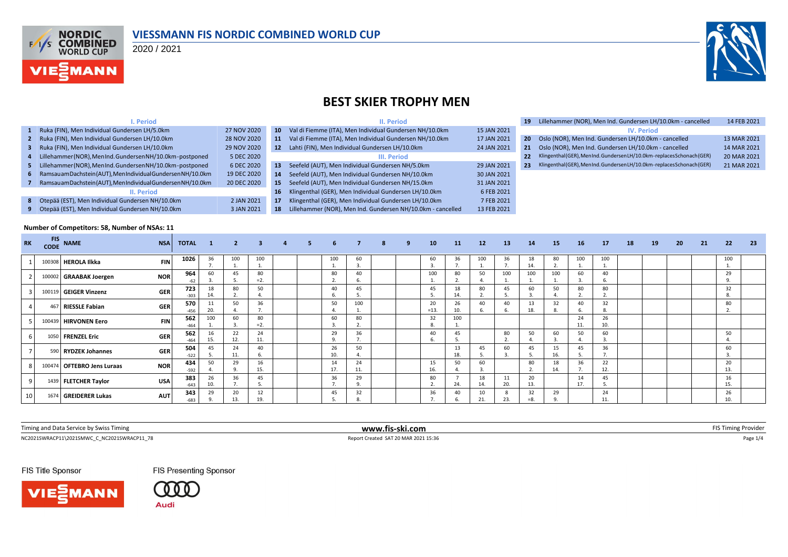

#### **VIESSMANN FIS NORDIC COMBINED WORLD CUP**

2020 / 2021



### **BEST SKIER TROPHY MEN**

|              | . Period                                                     |             |    | II. Period                                                  |             | 19. |  |
|--------------|--------------------------------------------------------------|-------------|----|-------------------------------------------------------------|-------------|-----|--|
| $\mathbf{1}$ | Ruka (FIN), Men Individual Gundersen LH/5.0km                | 27 NOV 2020 | 10 | Val di Fiemme (ITA), Men Individual Gundersen NH/10.0km     | 15 JAN 2021 |     |  |
|              | Ruka (FIN), Men Individual Gundersen LH/10.0km               | 28 NOV 2020 | 11 | Val di Fiemme (ITA), Men Individual Gundersen NH/10.0km     | 17 JAN 2021 | 20  |  |
| з.           | Ruka (FIN), Men Individual Gundersen LH/10.0km               | 29 NOV 2020 | 12 | Lahti (FIN), Men Individual Gundersen LH/10.0km             | 24 JAN 2021 | 21  |  |
| 4            | Lillehammer (NOR), MenInd. Gundersen NH/10.0km-postponed     | 5 DEC 2020  |    | III. Period                                                 |             | 22  |  |
| 5.           | Lillehammer (NOR), MenInd. Gundersen NH/10.0km-postponed     | 6 DEC 2020  | 13 | Seefeld (AUT), Men Individual Gundersen NH/5.0km            | 29 JAN 2021 | 23  |  |
| 6            | Ramsauam Dachstein (AUT), Men Individual Gundersen NH/10.0km | 19 DEC 2020 | 14 | Seefeld (AUT), Men Individual Gundersen NH/10.0km           | 30 JAN 2021 |     |  |
|              | Ramsauam Dachstein (AUT), Men Individual Gundersen NH/10.0km | 20 DEC 2020 | 15 | Seefeld (AUT), Men Individual Gundersen NH/15.0km           | 31 JAN 2021 |     |  |
|              | II. Period                                                   |             | 16 | Klingenthal (GER), Men Individual Gundersen LH/10.0km       | 6 FEB 2021  |     |  |
| 8            | Otepää (EST), Men Individual Gundersen NH/10.0km             | 2 JAN 2021  | 17 | Klingenthal (GER), Men Individual Gundersen LH/10.0km       | 7 FEB 2021  |     |  |
| 9            | Otepää (EST), Men Individual Gundersen NH/10.0km             | 3 JAN 2021  | 18 | Lillehammer (NOR), Men Ind. Gundersen NH/10.0km - cancelled | 13 FEB 2021 |     |  |

| 19 | Lillehammer (NOR), Men Ind. Gundersen LH/10.0km - cancelled           | 14 FEB 2021 |
|----|-----------------------------------------------------------------------|-------------|
|    | <b>IV. Period</b>                                                     |             |
| 20 | Oslo (NOR), Men Ind. Gundersen LH/10.0km - cancelled                  | 13 MAR 2021 |
| 21 | Oslo (NOR), Men Ind. Gundersen LH/10.0km - cancelled                  | 14 MAR 2021 |
| 22 | Klingenthal (GER), MenInd. GundersenLH/10.0km-replaces Schonach (GER) | 20 MAR 2021 |
| 23 | Klingenthal (GER), MenInd. GundersenLH/10.0km-replaces Schonach (GER) | 21 MAR 2021 |
|    |                                                                       |             |

#### **Number of Competitors: 58, Number of NSAs: 11**

| <b>RK</b> | <b>FIS</b><br><b>CODE</b> | <b>NAME</b>            | <b>NSA</b> | <b>TOTAL</b>  | $\mathbf{1}$ | $\overline{2}$ | 3 <sup>1</sup> | $\overline{a}$ | 5. | 6              |           | 8 | 9 | 10           | 11        | 12        | <b>13</b> | 14          | 15        | 16        | 17        | 18 | 19 | 20 | 21 | 22        | - 23 |
|-----------|---------------------------|------------------------|------------|---------------|--------------|----------------|----------------|----------------|----|----------------|-----------|---|---|--------------|-----------|-----------|-----------|-------------|-----------|-----------|-----------|----|----|----|----|-----------|------|
|           |                           | 100308 HEROLA Ilkka    | <b>FIN</b> | 1026          | 36           | 100            | 100            |                |    | 100            | 60        |   |   | 60           | 36        | 100       | 36        | 18<br>14.   | 80        | 100       | 100       |    |    |    |    | 100       |      |
|           |                           | 100002 GRAABAK Joergen | <b>NOR</b> | 964<br>$-62$  | 60           | 45<br>э.       | 80<br>$=2.$    |                |    | 80             | 40        |   |   | 100          | 80        | 50        | 100       | 100         | 100       | 60        | 40        |    |    |    |    | 29        |      |
|           |                           | 100119 GEIGER Vinzenz  | <b>GER</b> | 723<br>$-303$ | 18<br>14.    | 80<br>ຳ<br>L.  | 50             |                |    | 40             | 45        |   |   | 45           | 18<br>14. | 80<br>z.  | 45        | 60          | 50        | 80        | 80        |    |    |    |    | 32        |      |
|           |                           | 467 RIESSLE Fabian     | <b>GER</b> | 570<br>-456   | 11<br>20.    | 50             | 36             |                |    | 50             | 100       |   |   | 20<br>$=13.$ | 26<br>10. | 40        | 40        | 13<br>18.   | 32        | 40<br>6   | 32<br>ŏ   |    |    |    |    | 80        |      |
|           |                           | 100439 HIRVONEN Eero   | <b>FIN</b> | 562<br>$-464$ | 100          | 60             | 80<br>$= 2.$   |                |    | 60             | 80        |   |   | 32           | 100       |           |           |             |           | 24<br>11. | 26<br>10. |    |    |    |    |           |      |
|           |                           | 1050 FRENZEL Eric      | <b>GER</b> | 562<br>$-464$ | 16<br>15.    | 22<br>12.      | 24<br>11.      |                |    | 29<br>$\Omega$ | 36        |   |   | 40           | 45        |           | 80        | 50          | 60        | 50        | 60        |    |    |    |    | 50        |      |
|           |                           | 590 RYDZEK Johannes    | <b>GER</b> | 504<br>$-522$ | 45           | 24<br>11.      | 40             |                |    | 26<br>10       | 50        |   |   |              | 13<br>18. | 45        | 60        | 45          | 16.       | 45        | 36        |    |    |    |    | 60        |      |
|           | 100474                    | 4 OFTEBRO Jens Luraas  | <b>NOR</b> | 434<br>$-592$ | 50           | 29             | 16<br>15.      |                |    | 14<br>17.      | 24<br>11. |   |   | 15<br>16.    | 50        | 60        |           | 80          | 18<br>14. | 36        | 22<br>12. |    |    |    |    | 20<br>13. |      |
|           |                           | 1439 FLETCHER Taylor   | <b>USA</b> | 383<br>$-643$ | 26<br>10.    | 36<br>7.       | 45             |                |    | 36<br>-        | 29<br>9.  |   |   | 80           | 24.       | 18<br>14. | 11<br>20. | 20<br>13.   |           | 14<br>17. | 45<br>.ر  |    |    |    |    | 16<br>15. |      |
| 10        |                           | 1674 GREIDERER Lukas   | <b>AUT</b> | 343<br>$-683$ | 29           | 20<br>13.      | 12<br>19.      |                |    | 45             | 32<br>8.  |   |   | 36           | 40        | 10<br>21. | 8<br>23.  | 32<br>$=8.$ | 29        |           | 24        |    |    |    |    | 26        |      |

| Timing and<br>by Swiss Timing<br>. Cor<br>: 1 V I L | -ski.com<br>www.fis-sk |  |
|-----------------------------------------------------|------------------------|--|
|                                                     |                        |  |

 $\footnotesize \begin{array}{ll} \text{Report Credit} & \text{Report Credit} & \text{11:36} \\ \text{Report Credit} & \text{12:36} & \text{Report Credit} & \text{13:36} \end{array}$ 

FIS Title Sponsor





**FIS Presenting Sponsor**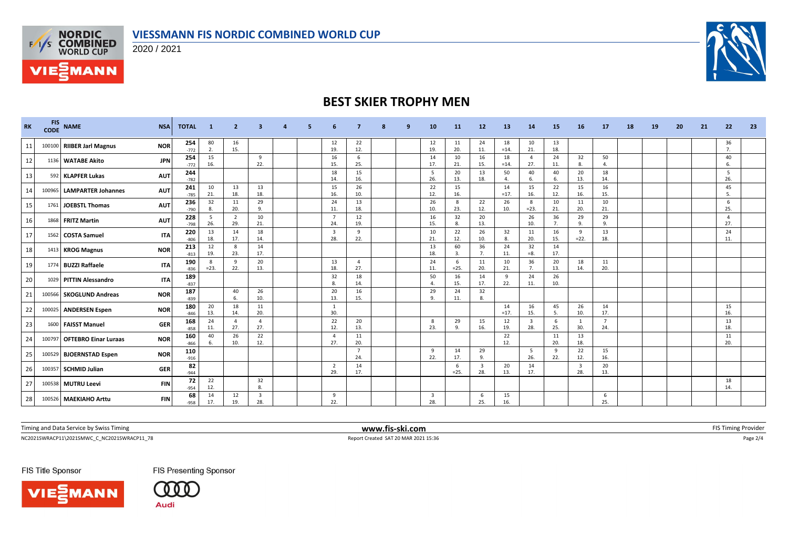



**VIE***MANN* 

2020 / 2021



## **BEST SKIER TROPHY MEN**

| <b>RK</b> | <b>FIS</b><br><b>CODE</b> | <b>NAME</b>                 | <b>NSA</b> | <b>TOTAL</b>  | $\blacksquare$ 1 | $\overline{2}$        |                                |  |                                |                       | q | 10                   | <b>11</b>   | 12                             | <b>13</b>            | 14                             | 15          | 16                             | 17                    | 18 | 19 | 20 | 21 | 22                   | 23 |
|-----------|---------------------------|-----------------------------|------------|---------------|------------------|-----------------------|--------------------------------|--|--------------------------------|-----------------------|---|----------------------|-------------|--------------------------------|----------------------|--------------------------------|-------------|--------------------------------|-----------------------|----|----|----|----|----------------------|----|
| 11        |                           | 100100 RIIBER Jarl Magnus   | <b>NOR</b> | 254<br>$-772$ | 80<br>2.         | 16<br>15.             |                                |  | 12<br>19.                      | 22<br>12.             |   | 12<br>19.            | 11<br>20.   | 24<br>11.                      | 18<br>$=14.$         | 10<br>21.                      | 13<br>18.   |                                |                       |    |    |    |    | 36<br>7 <sub>1</sub> |    |
| 12        |                           | 1136 WATABE Akito           | <b>JPN</b> | 254<br>$-772$ | 15<br>16.        |                       | 9<br>22.                       |  | 16<br>15.                      | -6<br>25.             |   | 14<br>17.            | 10<br>21.   | 16<br>15.                      | 18<br>$=14.$         | $\overline{4}$<br>27.          | 24<br>11.   | 32<br>8.                       | 50<br>$\overline{4}$  |    |    |    |    | 40<br>6.             |    |
| 13        |                           | 592 KLAPFER Lukas           | <b>AUT</b> | 244<br>$-782$ |                  |                       |                                |  | 18<br>14.                      | 15<br>16.             |   | 5<br>26.             | 20<br>13.   | 13<br>18.                      | 50<br>$\overline{a}$ | 40<br>6.                       | 40<br>6.    | 20<br>13.                      | 18<br>14.             |    |    |    |    | - 5<br>26.           |    |
| 14        | 100965                    | <b>LAMPARTER Johannes</b>   | <b>AUT</b> | 241<br>$-785$ | 10<br>21.        | 13<br>18.             | 13<br>18.                      |  | 15<br>16.                      | 26<br>10.             |   | 22<br>12.            | 15<br>16.   |                                | 14<br>$=17$          | 15<br>16.                      | 22<br>12.   | 15<br>16.                      | 16<br>15.             |    |    |    |    | 45<br>-5.            |    |
| 15        |                           | 1761 JOEBSTL Thomas         | <b>AUT</b> | 236<br>$-790$ | 32<br>8.         | 11<br>20.             | 29<br>9.                       |  | 24<br>11.                      | 13<br>18.             |   | 26<br>10.            | 8<br>23.    | 22<br>12.                      | 26<br>10.            | 8<br>$=23.$                    | 10<br>21.   | 11<br>20.                      | 10<br>21.             |    |    |    |    | 6<br>25.             |    |
| 16        |                           | 1868 FRITZ Martin           | <b>AUT</b> | 228<br>$-798$ | - 5<br>26.       | $\overline{2}$<br>29. | 10<br>21.                      |  | $\overline{7}$<br>24.          | 12<br>19.             |   | 16<br>15.            | 32<br>8.    | 20<br>13.                      |                      | 26<br>10.                      | 36<br>7.    | 29<br>9.                       | 29<br>9.              |    |    |    |    | $\mathbf{A}$<br>27.  |    |
| 17        |                           | 1562 COSTA Samuel           | <b>ITA</b> | 220<br>$-806$ | 13<br>18.        | 14<br>17.             | 18<br>14.                      |  | $\overline{\mathbf{3}}$<br>28. | $\mathbf{q}$<br>22.   |   | 10<br>21.            | 22<br>12.   | 26<br>10.                      | 32<br>8.             | 11<br>20.                      | 16<br>15.   | 9<br>$=22.$                    | 13<br>18.             |    |    |    |    | 24<br>11.            |    |
| 18        |                           | 1413 KROG Magnus            | <b>NOR</b> | 213<br>$-813$ | 12<br>19.        | 8<br>23.              | 14<br>17.                      |  |                                |                       |   | 13<br>18.            | 60<br>3.    | 36<br>7.                       | 24<br>11.            | 32<br>$= 8.$                   | 14<br>17.   |                                |                       |    |    |    |    |                      |    |
| 19        |                           | 1774 BUZZI Raffaele         | <b>ITA</b> | 190<br>$-836$ | 8<br>$=23.$      | 9<br>22.              | 20<br>13.                      |  | 13<br>18.                      | $\overline{a}$<br>27. |   | 24<br>11.            | 6<br>$=25.$ | 11<br>20.                      | 10<br>21.            | 36<br>7.                       | 20<br>13.   | 18<br>14.                      | 11<br>20.             |    |    |    |    |                      |    |
| 20        |                           | 1029 PITTIN Alessandro      | <b>ITA</b> | 189<br>$-837$ |                  |                       |                                |  | 32<br>8.                       | 18<br>14.             |   | 50<br>$\overline{4}$ | 16<br>15.   | 14<br>17.                      | 9<br>22.             | 24<br>11.                      | 26<br>10.   |                                |                       |    |    |    |    |                      |    |
| 21        |                           | 100566 SKOGLUND Andreas     | <b>NOR</b> | 187<br>$-839$ |                  | 40<br>6.              | 26<br>10.                      |  | 20<br>13.                      | 16<br>15.             |   | 29<br>9              | 24<br>11.   | 32<br>8.                       |                      |                                |             |                                |                       |    |    |    |    |                      |    |
| 22        |                           | 100025 ANDERSEN Espen       | <b>NOR</b> | 180<br>$-846$ | 20<br>13.        | 18<br>14.             | 11<br>20.                      |  | 1<br>30.                       |                       |   |                      |             |                                | 14<br>$=17.$         | 16<br>15.                      | 45<br>5.    | 26<br>10.                      | 14<br>17.             |    |    |    |    | 15<br>16.            |    |
| 23        |                           | 1600 FAISST Manuel          | <b>GER</b> | 168<br>$-858$ | 24<br>11.        | $\overline{4}$<br>27. | $\overline{a}$<br>27.          |  | 22<br>12.                      | 20<br>13.             |   | 8<br>23.             | 29<br>9     | 15<br>16.                      | 12<br>19.            | $\overline{\mathbf{3}}$<br>28. | -6<br>25.   | 1<br>30.                       | $\overline{7}$<br>24. |    |    |    |    | 13<br>18.            |    |
| 24        |                           | 100797 OFTEBRO Einar Luraas | <b>NOR</b> | 160<br>$-866$ | 40<br>6.         | 26<br>10.             | 22<br>12.                      |  | $\overline{4}$<br>27.          | 11<br>20.             |   |                      |             |                                | 22<br>12.            |                                | - 11<br>20. | 13<br>18.                      |                       |    |    |    |    | 11<br>20.            |    |
| 25        |                           | 100529 BJOERNSTAD Espen     | <b>NOR</b> | 110<br>$-916$ |                  |                       |                                |  |                                | $\overline{7}$<br>24. |   | 9<br>22.             | 14<br>17.   | 29<br>9.                       |                      | 5<br>26.                       | 9<br>22.    | 22<br>12.                      | 15<br>16.             |    |    |    |    |                      |    |
| 26        |                           | 100357 SCHMID Julian        | <b>GER</b> | 82<br>$-944$  |                  |                       |                                |  | $\overline{2}$<br>29.          | 14<br>17.             |   |                      | 6<br>$=25.$ | $\overline{\mathbf{3}}$<br>28. | 20<br>13.            | 14<br>17.                      |             | $\overline{\mathbf{3}}$<br>28. | 20<br>13.             |    |    |    |    |                      |    |
| 27        |                           | 100538 MUTRU Leevi          | <b>FIN</b> | 72<br>$-954$  | 22<br>12.        |                       | 32<br>8                        |  |                                |                       |   |                      |             |                                |                      |                                |             |                                |                       |    |    |    |    | 18<br>14.            |    |
| 28        |                           | 100526 MAEKIAHO Arttu       | <b>FIN</b> | 68<br>$-958$  | 14<br>17.        | 12<br>19.             | $\overline{\mathbf{3}}$<br>28. |  | 9<br>22.                       |                       |   | 3<br>28.             |             | 6<br>25.                       | 15<br>16.            |                                |             |                                | 6<br>25.              |    |    |    |    |                      |    |

Timing and Data Service by Swiss Timing **www.fis-ski.com www.fis-ski.com** FIS Timing Provider

 $\footnotesize \begin{array}{ll} \text{Report Credit} & \text{Report Credit} & \text{N} \\ \text{Report Credit} & \text{N} & \text{R} \\ \text{Report Credit} & \text{N} & \text{R} \\ \text{N} & \text{R} & \text{R} \\ \text{N} & \text{R} & \text{R} \\ \text{N} & \text{R} & \text{R} \\ \text{N} & \text{R} & \text{R} \\ \text{N} & \text{R} & \text{R} \\ \text{N} & \text{R} & \text{R} \\ \text{N} & \text{R} & \text{R} \\ \text{N} & \text{R} & \text{R} \\ \text{N$ 

FIS Title Sponsor



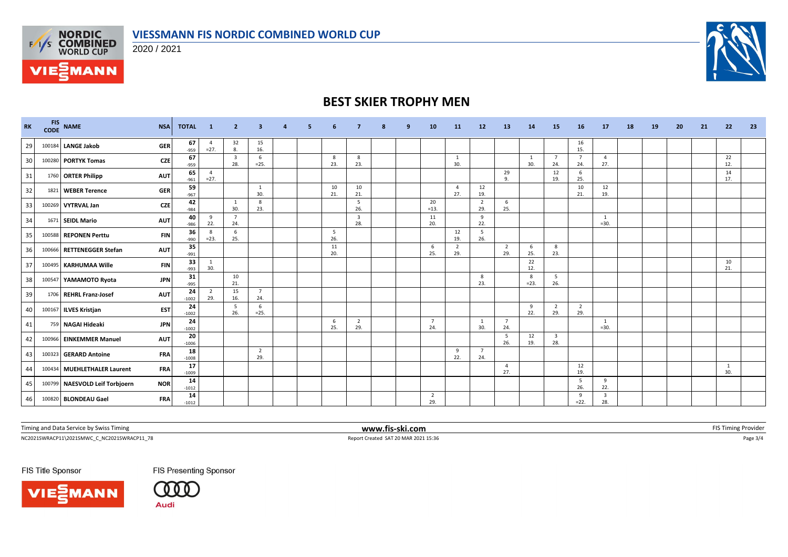

2020 / 2021



# **BEST SKIER TROPHY MEN**

| <b>RK</b> |        | FIS NAME<br><b>NSA</b>                       | <b>TOTAL</b>  | $\blacksquare$ 1         | $\overline{2}$                 | 3                     | 4 | 5. | 6         |                       | 8 | 9 | 10                    | <b>11</b>             | 12                    | 13                    | 14          | 15                             | 16                    | <b>17</b>                      | 18 | <b>19</b> | 20 | 21 | 22        | 23 |
|-----------|--------|----------------------------------------------|---------------|--------------------------|--------------------------------|-----------------------|---|----|-----------|-----------------------|---|---|-----------------------|-----------------------|-----------------------|-----------------------|-------------|--------------------------------|-----------------------|--------------------------------|----|-----------|----|----|-----------|----|
| 29        | 100184 | <b>LANGE Jakob</b><br><b>GER</b>             | 67<br>-959    | $\overline{4}$<br>$=27.$ | 32<br>8.                       | 15<br>16.             |   |    |           |                       |   |   |                       |                       |                       |                       |             |                                | 16<br>15.             |                                |    |           |    |    |           |    |
| 30        |        | 100280 PORTYK Tomas<br><b>CZE</b>            | 67<br>$-959$  |                          | $\overline{\mathbf{3}}$<br>28. | 6<br>$=25.$           |   |    | 8<br>23.  | 8<br>23.              |   |   |                       | 1<br>30.              |                       |                       | 1<br>30.    | $\overline{7}$<br>24.          | $7^{\circ}$<br>24.    | $\overline{4}$<br>27.          |    |           |    |    | 22<br>12. |    |
| 31        |        | 1760 ORTER Philipp<br><b>AUT</b>             | 65<br>$-961$  | $\overline{4}$<br>$=27.$ |                                |                       |   |    |           |                       |   |   |                       |                       |                       | 29<br>$\mathbf{q}$    |             | 12<br>19.                      | 6<br>25.              |                                |    |           |    |    | 14<br>17. |    |
| 32        |        | <b>GER</b><br>1821 WEBER Terence             | 59<br>$-967$  |                          |                                | 1<br>30.              |   |    | 10<br>21. | 10<br>21.             |   |   |                       | $\overline{4}$<br>27. | 12<br>19.             |                       |             |                                | 10<br>21.             | 12<br>19.                      |    |           |    |    |           |    |
| 33        |        | <b>CZE</b><br>100269 VYTRVAL Jan             | 42<br>$-984$  |                          | 1<br>30.                       | 8<br>23.              |   |    |           | - 5<br>26.            |   |   | 20<br>$=13.$          |                       | $\overline{2}$<br>29. | 6<br>25.              |             |                                |                       |                                |    |           |    |    |           |    |
| 34        |        | 1671 SEIDL Mario<br><b>AUT</b>               | 40<br>$-986$  | 9<br>22.                 | $\overline{7}$<br>24.          |                       |   |    |           | 3<br>28.              |   |   | 11<br>20.             |                       | 9<br>22.              |                       |             |                                |                       | 1<br>$=30.$                    |    |           |    |    |           |    |
| 35        | 100588 | <b>REPONEN Perttu</b><br><b>FIN</b>          | 36<br>$-990$  | 8<br>$= 23.$             | 6<br>25.                       |                       |   |    | 5<br>26.  |                       |   |   |                       | 12<br>19.             | 5<br>26.              |                       |             |                                |                       |                                |    |           |    |    |           |    |
| 36        |        | <b>AUT</b><br>100666 RETTENEGGER Stefan      | 35<br>$-991$  |                          |                                |                       |   |    | 11<br>20. |                       |   |   | 6<br>25.              | -2<br>29.             |                       | $\overline{2}$<br>29. | 6<br>25.    | 8<br>23.                       |                       |                                |    |           |    |    |           |    |
| 37        |        | 100495 KARHUMAA Wille<br><b>FIN</b>          | 33<br>$-993$  | 1<br>30.                 |                                |                       |   |    |           |                       |   |   |                       |                       |                       |                       | 22<br>12.   |                                |                       |                                |    |           |    |    | 10<br>21. |    |
| 38        |        | 100547 YAMAMOTO Ryota<br><b>JPN</b>          | 31<br>$-995$  |                          | 10<br>21.                      |                       |   |    |           |                       |   |   |                       |                       | 8<br>23.              |                       | 8<br>$=23.$ | - 5<br>26.                     |                       |                                |    |           |    |    |           |    |
| 39        |        | 1706 REHRL Franz-Josef<br><b>AUT</b>         | 24<br>$-1002$ | $\overline{2}$<br>29.    | 15<br>16.                      | $\overline{7}$<br>24. |   |    |           |                       |   |   |                       |                       |                       |                       |             |                                |                       |                                |    |           |    |    |           |    |
| 40        |        | 100167 ILVES Kristjan<br><b>EST</b>          | 24<br>$-1002$ |                          | 5<br>26.                       | 6<br>$=25.$           |   |    |           |                       |   |   |                       |                       |                       |                       | 9<br>22.    | $\overline{2}$<br>29.          | $\overline{2}$<br>29. |                                |    |           |    |    |           |    |
| 41        |        | <b>JPN</b><br>759 NAGAI Hideaki              | 24<br>$-1002$ |                          |                                |                       |   |    | 6<br>25.  | $\overline{2}$<br>29. |   |   | 7<br>24.              |                       | 1<br>30.              | $\overline{7}$<br>24  |             |                                |                       | 1<br>$=30.$                    |    |           |    |    |           |    |
| 42        |        | <b>AUT</b><br>100966 EINKEMMER Manuel        | 20<br>$-1006$ |                          |                                |                       |   |    |           |                       |   |   |                       |                       |                       | - 5<br>26.            | 12<br>19.   | $\overline{\mathbf{3}}$<br>28. |                       |                                |    |           |    |    |           |    |
| 43        |        | <b>FRA</b><br>100323 GERARD Antoine          | 18<br>$-1008$ |                          |                                | $\overline{2}$<br>29. |   |    |           |                       |   |   |                       | 9<br>22.              | 7<br>24.              |                       |             |                                |                       |                                |    |           |    |    |           |    |
| 44        |        | 100434 MUEHLETHALER Laurent<br><b>FRA</b>    | 17<br>$-1009$ |                          |                                |                       |   |    |           |                       |   |   |                       |                       |                       | $\overline{4}$<br>27. |             |                                | 12<br>19.             |                                |    |           |    |    | 1<br>30.  |    |
| 45        |        | 100799 NAESVOLD Leif Torbjoern<br><b>NOR</b> | 14<br>$-1012$ |                          |                                |                       |   |    |           |                       |   |   |                       |                       |                       |                       |             |                                | 5<br>26.              | 9<br>22.                       |    |           |    |    |           |    |
| 46        |        | 100820 BLONDEAU Gael<br><b>FRA</b>           | 14<br>$-1012$ |                          |                                |                       |   |    |           |                       |   |   | $\overline{2}$<br>29. |                       |                       |                       |             |                                | 9<br>$=22.$           | $\overline{\mathbf{3}}$<br>28. |    |           |    |    |           |    |

Timing and Data Service by Swiss Timing **www.fis-ski.com www.fis-ski.com** FIS Timing Provider

 $\footnotesize \begin{array}{ll} \text{Report Credit} & \text{Report Credit} & \text{SAT 20 MAR 2021 15:36} \\ \text{Report Credit} & \text{SAT 20 MAR 2021 15:36} \end{array}$ 

FIS Title Sponsor